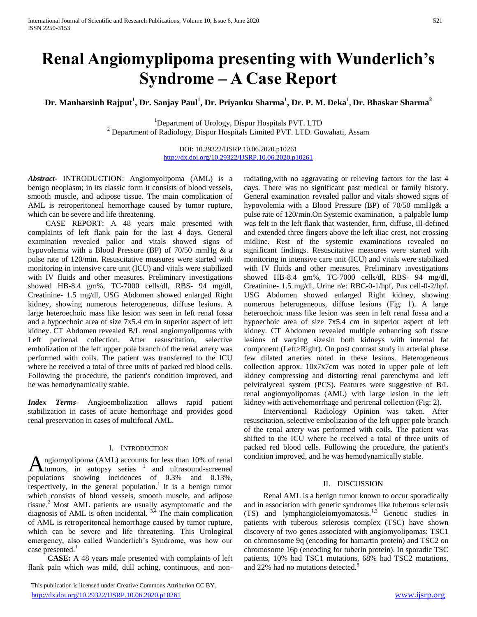# **Renal Angiomyplipoma presenting with Wunderlich's Syndrome – A Case Report**

**Dr. Manharsinh Rajput<sup>1</sup> , Dr. Sanjay Paul<sup>1</sup> , Dr. Priyanku Sharma<sup>1</sup> , Dr. P. M. Deka<sup>1</sup> , Dr. Bhaskar Sharma<sup>2</sup>**

<sup>1</sup>Department of Urology, Dispur Hospitals PVT. LTD  $2$  Department of Radiology, Dispur Hospitals Limited PVT. LTD. Guwahati, Assam

> DOI: 10.29322/IJSRP.10.06.2020.p10261 <http://dx.doi.org/10.29322/IJSRP.10.06.2020.p10261>

*Abstract***-** INTRODUCTION: Angiomyolipoma (AML) is a benign neoplasm; in its classic form it consists of blood vessels, smooth muscle, and adipose tissue. The main complication of AML is retroperitoneal hemorrhage caused by tumor rupture, which can be severe and life threatening.

 CASE REPORT: A 48 years male presented with complaints of left flank pain for the last 4 days. General examination revealed pallor and vitals showed signs of hypovolemia with a Blood Pressure (BP) of 70/50 mmHg & a pulse rate of 120/min. Resuscitative measures were started with monitoring in intensive care unit (ICU) and vitals were stabilized with IV fluids and other measures. Preliminary investigations showed HB-8.4 gm%, TC-7000 cells/dl, RBS- 94 mg/dl, Creatinine- 1.5 mg/dl, USG Abdomen showed enlarged Right kidney, showing numerous heterogeneous, diffuse lesions. A large heteroechoic mass like lesion was seen in left renal fossa and a hypoechoic area of size 7x5.4 cm in superior aspect of left kidney. CT Abdomen revealed B/L renal angiomyolipomas with Left perirenal collection. After resuscitation, selective embolization of the left upper pole branch of the renal artery was performed with coils. The patient was transferred to the ICU where he received a total of three units of packed red blood cells. Following the procedure, the patient's condition improved, and he was hemodynamically stable.

*Index Terms*- Angioembolization allows rapid patient stabilization in cases of acute hemorrhage and provides good renal preservation in cases of multifocal AML.

## I. INTRODUCTION

ngiomyolipoma (AML) accounts for less than 10% of renal tumors, in autopsy series  $1$  and ultrasound-screened  $\mathbf{A}$ ngiomyolipoma (AML) accounts for less than 10% of renal<br>populations showing incidences of 0.3% and 0.13%, respectively, in the general population.<sup>1</sup> It is a benign tumor which consists of blood vessels, smooth muscle, and adipose tissue. $<sup>2</sup>$  Most AML patients are usually asymptomatic and the</sup> diagnosis of AML is often incidental.  $3,4$  The main complication of AML is retroperitoneal hemorrhage caused by tumor rupture, which can be severe and life threatening. This Urological emergency, also called Wunderlich's Syndrome, was how our case presented.<sup>1</sup>

 **CASE:** A 48 years male presented with complaints of left flank pain which was mild, dull aching, continuous, and non-

 This publication is licensed under Creative Commons Attribution CC BY. <http://dx.doi.org/10.29322/IJSRP.10.06.2020.p10261> [www.ijsrp.org](http://ijsrp.org/)

radiating,with no aggravating or relieving factors for the last 4 days. There was no significant past medical or family history. General examination revealed pallor and vitals showed signs of hypovolemia with a Blood Pressure (BP) of 70/50 mmHg& a pulse rate of 120/min.On Systemic examination, a palpable lump was felt in the left flank that wastender, firm, diffuse, ill-defined and extended three fingers above the left iliac crest, not crossing midline. Rest of the systemic examinations revealed no significant findings. Resuscitative measures were started with monitoring in intensive care unit (ICU) and vitals were stabilized with IV fluids and other measures. Preliminary investigations showed HB-8.4 gm%, TC-7000 cells/dl, RBS- 94 mg/dl, Creatinine- 1.5 mg/dl, Urine r/e: RBC-0-1/hpf, Pus cell-0-2/hpf. USG Abdomen showed enlarged Right kidney, showing numerous heterogeneous, diffuse lesions (Fig: 1). A large heteroechoic mass like lesion was seen in left renal fossa and a hypoechoic area of size 7x5.4 cm in superior aspect of left kidney. CT Abdomen revealed multiple enhancing soft tissue lesions of varying sizesin both kidneys with internal fat component (Left>Right). On post contrast study in arterial phase few dilated arteries noted in these lesions. Heterogeneous collection approx. 10x7x7cm was noted in upper pole of left kidney compressing and distorting renal parenchyma and left pelvicalyceal system (PCS). Features were suggestive of B/L renal angiomyolipomas (AML) with large lesion in the left kidney with activehemorrhage and perirenal collection (Fig: 2).

Interventional Radiology Opinion was taken. After resuscitation, selective embolization of the left upper pole branch of the renal artery was performed with coils. The patient was shifted to the ICU where he received a total of three units of packed red blood cells. Following the procedure, the patient's condition improved, and he was hemodynamically stable.

### II. DISCUSSION

Renal AML is a benign tumor known to occur sporadically and in association with genetic syndromes like tuberous sclerosis (TS) and lymphangioleiomyomatosis.1,3 Genetic studies in patients with tuberous sclerosis complex (TSC) have shown discovery of two genes associated with angiomyolipomas: TSC1 on chromosome 9q (encoding for hamartin protein) and TSC2 on chromosome 16p (encoding for tuberin protein). In sporadic TSC patients, 10% had TSC1 mutations, 68% had TSC2 mutations, and 22% had no mutations detected.<sup>5</sup>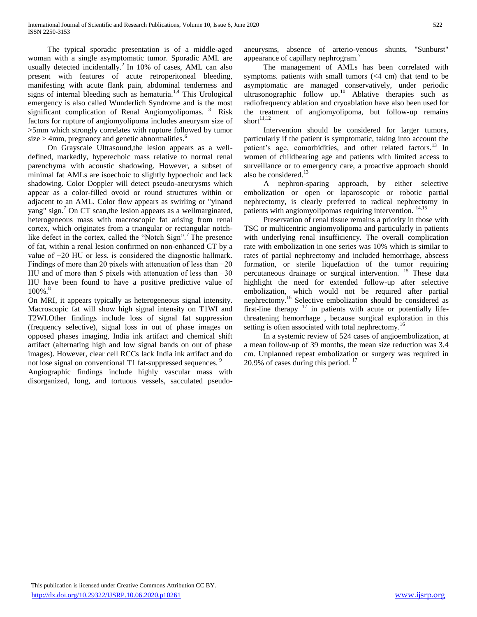The typical sporadic presentation is of a middle-aged woman with a single asymptomatic tumor. Sporadic AML are usually detected incidentally.<sup>2</sup> In 10% of cases, AML can also present with features of acute retroperitoneal bleeding, manifesting with acute flank pain, abdominal tenderness and signs of internal bleeding such as hematuria.<sup>1,4</sup> This Urological emergency is also called Wunderlich Syndrome and is the most significant complication of Renal Angiomyolipomas.  $3$  Risk factors for rupture of angiomyolipoma includes aneurysm size of >5mm which strongly correlates with rupture followed by tumor size  $>$  4mm, pregnancy and genetic abnormalities.<sup>6</sup>

On Grayscale Ultrasound,the lesion appears as a welldefined, markedly, hyperechoic mass relative to normal renal parenchyma with acoustic shadowing. However, a subset of minimal fat AMLs are isoechoic to slightly hypoechoic and lack shadowing. Color Doppler will detect pseudo-aneurysms which appear as a color-filled ovoid or round structures within or adjacent to an AML. Color flow appears as swirling or "yinand yang" sign. $\frac{7}{2}$  On CT scan, the lesion appears as a wellmarginated, heterogeneous mass with macroscopic fat arising from renal cortex, which originates from a triangular or rectangular notchlike defect in the cortex, called the "Notch Sign".<sup>7</sup> The presence of fat, within a renal lesion confirmed on non-enhanced CT by a value of −20 HU or less, is considered the diagnostic hallmark. Findings of more than 20 pixels with attenuation of less than −20 HU and of more than 5 pixels with attenuation of less than −30 HU have been found to have a positive predictive value of  $100\%$ .

On MRI, it appears typically as heterogeneous signal intensity. Macroscopic fat will show high signal intensity on T1WI and T2WI.Other findings include loss of signal fat suppression (frequency selective), signal loss in out of phase images on opposed phases imaging, India ink artifact and chemical shift artifact (alternating high and low signal bands on out of phase images). However, clear cell RCCs lack India ink artifact and do not lose signal on conventional T1 fat-suppressed sequences.<sup>9</sup>

Angiographic findings include highly vascular mass with disorganized, long, and tortuous vessels, sacculated pseudoaneurysms, absence of arterio-venous shunts, "Sunburst" appearance of capillary nephrogram.<sup>7</sup>

The management of AMLs has been correlated with symptoms. patients with small tumors (<4 cm) that tend to be asymptomatic are managed conservatively, under periodic ultrasonographic follow up.<sup>10</sup> Ablative therapies such as radiofrequency ablation and cryoablation have also been used for the treatment of angiomyolipoma, but follow-up remains short $11,12$ 

Intervention should be considered for larger tumors, particularly if the patient is symptomatic, taking into account the patient's age, comorbidities, and other related factors.<sup>13</sup> In women of childbearing age and patients with limited access to surveillance or to emergency care, a proactive approach should also be considered.<sup>13</sup>

A nephron-sparing approach, by either selective embolization or open or laparoscopic or robotic partial nephrectomy, is clearly preferred to radical nephrectomy in patients with angiomyolipomas requiring intervention. <sup>14,15</sup>

Preservation of renal tissue remains a priority in those with TSC or multicentric angiomyolipoma and particularly in patients with underlying renal insufficiency. The overall complication rate with embolization in one series was 10% which is similar to rates of partial nephrectomy and included hemorrhage, abscess formation, or sterile liquefaction of the tumor requiring percutaneous drainage or surgical intervention. <sup>15</sup> These data highlight the need for extended follow-up after selective embolization, which would not be required after partial nephrectomy.<sup>16</sup> Selective embolization should be considered as first-line therapy  $17$  in patients with acute or potentially lifethreatening hemorrhage , because surgical exploration in this setting is often associated with total nephrectomy.<sup>16</sup>

In a systemic review of 524 cases of angioembolization, at a mean follow-up of 39 months, the mean size reduction was 3.4 cm. Unplanned repeat embolization or surgery was required in 20.9% of cases during this period.  $17$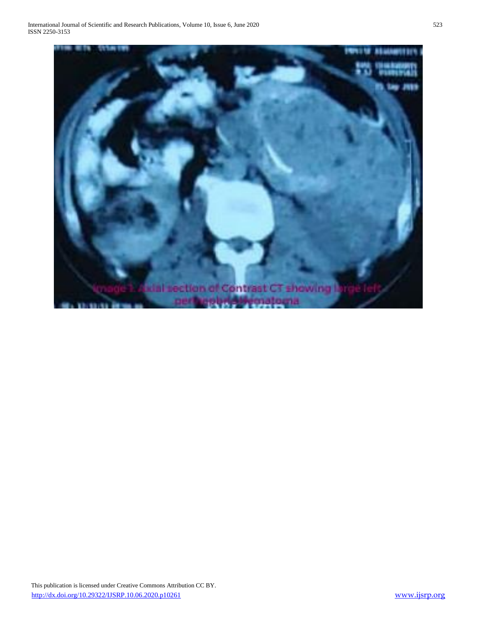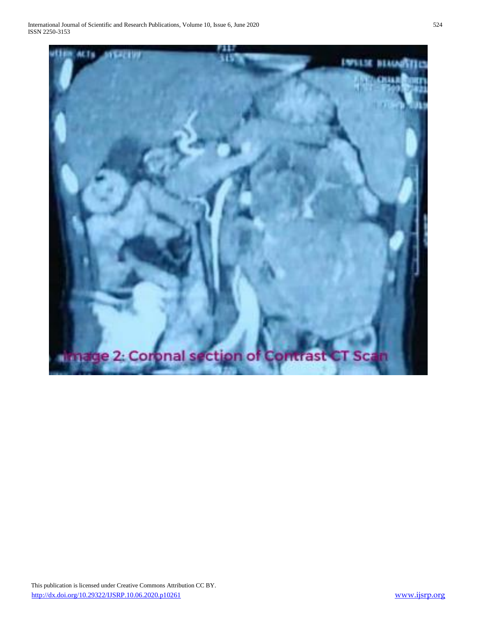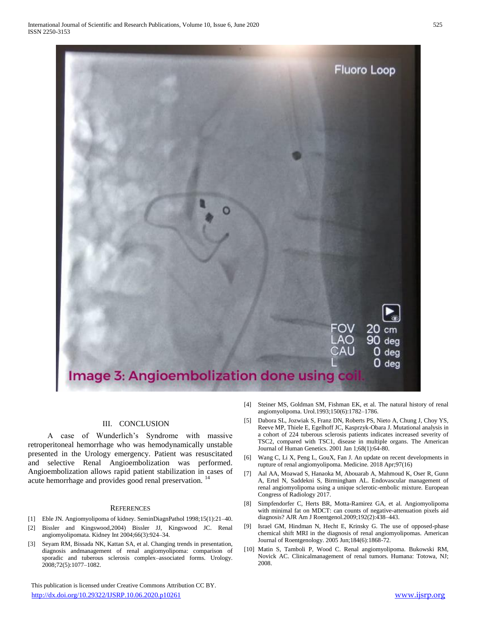

# III. CONCLUSION

A case of Wunderlich's Syndrome with massive retroperitoneal hemorrhage who was hemodynamically unstable presented in the Urology emergency. Patient was resuscitated and selective Renal Angioembolization was performed. Angioembolization allows rapid patient stabilization in cases of acute hemorrhage and provides good renal preservation. <sup>14</sup>

#### **REFERENCES**

- [1] Eble JN. Angiomyolipoma of kidney. SeminDiagnPathol 1998;15(1):21–40.
- [2] Bissler and Kingswood,2004) Bissler JJ, Kingswood JC. Renal angiomyolipomata. Kidney Int 2004;66(3):924–34.
- [3] Seyam RM, Bissada NK, Kattan SA, et al. Changing trends in presentation, diagnosis andmanagement of renal angiomyolipoma: comparison of sporadic and tuberous sclerosis complex–associated forms. Urology. 2008;72(5):1077–1082.

 This publication is licensed under Creative Commons Attribution CC BY. <http://dx.doi.org/10.29322/IJSRP.10.06.2020.p10261> [www.ijsrp.org](http://ijsrp.org/)

- [4] Steiner MS, Goldman SM, Fishman EK, et al. The natural history of renal angiomyolipoma. Urol.1993;150(6):1782–1786.
- [5] Dabora SL, Jozwiak S, Franz DN, Roberts PS, Nieto A, Chung J, Choy YS, Reeve MP, Thiele E, Egelhoff JC, Kasprzyk-Obara J. Mutational analysis in a cohort of 224 tuberous sclerosis patients indicates increased severity of TSC2, compared with TSC1, disease in multiple organs. The American Journal of Human Genetics. 2001 Jan 1;68(1):64-80.
- [6] Wang C, Li X, Peng L, GouX, Fan J. An update on recent developments in rupture of renal angiomyolipoma. Medicine. 2018 Apr;97(16)
- [7] Aal AA, Moawad S, Hanaoka M, Abouarab A, Mahmoud K, Oser R, Gunn A, Ertel N, Saddekni S, Birmingham AL. Endovascular management of renal angiomyolipoma using a unique sclerotic-embolic mixture. European Congress of Radiology 2017.
- [8] Simpfendorfer C, Herts BR, Motta-Ramirez GA, et al. Angiomyolipoma with minimal fat on MDCT: can counts of negative-attenuation pixels aid diagnosis? AJR Am J Roentgenol.2009;192(2):438–443.
- [9] Israel GM, Hindman N, Hecht E, Krinsky G. The use of opposed-phase chemical shift MRI in the diagnosis of renal angiomyolipomas. American Journal of Roentgenology. 2005 Jun;184(6):1868-72.
- [10] Matin S, Tamboli P, Wood C. Renal angiomyolipoma. Bukowski RM, Novick AC. Clinicalmanagement of renal tumors. Humana: Totowa, NJ; 2008.